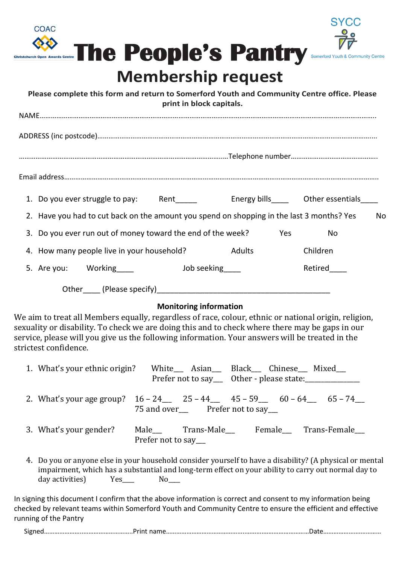



### **Membership request**

| Please complete this form and return to Somerford Youth and Community Centre office. Please<br>print in block capitals. |  |                                                                                           |  |             |     |          |    |  |  |
|-------------------------------------------------------------------------------------------------------------------------|--|-------------------------------------------------------------------------------------------|--|-------------|-----|----------|----|--|--|
|                                                                                                                         |  |                                                                                           |  |             |     |          |    |  |  |
|                                                                                                                         |  |                                                                                           |  |             |     |          |    |  |  |
|                                                                                                                         |  |                                                                                           |  |             |     |          |    |  |  |
|                                                                                                                         |  |                                                                                           |  |             |     |          |    |  |  |
|                                                                                                                         |  | 1. Do you ever struggle to pay: Rent Figure 2. Energy bills Cther essentials              |  |             |     |          |    |  |  |
|                                                                                                                         |  | 2. Have you had to cut back on the amount you spend on shopping in the last 3 months? Yes |  |             |     |          | No |  |  |
|                                                                                                                         |  | 3. Do you ever run out of money toward the end of the week?                               |  |             | Yes | No       |    |  |  |
|                                                                                                                         |  | 4. How many people live in your household?                                                |  | Adults      |     | Children |    |  |  |
|                                                                                                                         |  | 5. Are you: Working                                                                       |  | Job seeking |     | Retired  |    |  |  |
|                                                                                                                         |  |                                                                                           |  |             |     |          |    |  |  |

### **Monitoring information**

We aim to treat all Members equally, regardless of race, colour, ethnic or national origin, religion, sexuality or disability. To check we are doing this and to check where there may be gaps in our service, please will you give us the following information. Your answers will be treated in the strictest confidence.

| 1. What's your ethnic origin?                                                                                                                                                                                   | White__ Asian__ Black__ Chinese__ Mixed__<br>Prefer not to say___ Other - please state:_________ |  |  |  |  |
|-----------------------------------------------------------------------------------------------------------------------------------------------------------------------------------------------------------------|--------------------------------------------------------------------------------------------------|--|--|--|--|
|                                                                                                                                                                                                                 | 2. What's your age group? $16 - 24$ $25 - 44$ $45 - 59$ $60 - 64$ $5 - 74$                       |  |  |  |  |
| 3. What's your gender?                                                                                                                                                                                          | Male Trans-Male Female Trans-Female<br>Prefer not to say                                         |  |  |  |  |
| 4. Do you or anyone else in your household consider yourself to have a disability? (A physical or mental<br>impairment, which has a substantial and long-term effect on your ability to carry out normal day to |                                                                                                  |  |  |  |  |

In signing this document I confirm that the above information is correct and consent to my information being checked by relevant teams within Somerford Youth and Community Centre to ensure the efficient and effective running of the Pantry

Signed…………………..………………………..Print name………………………………………..……….………………………Date………………….…………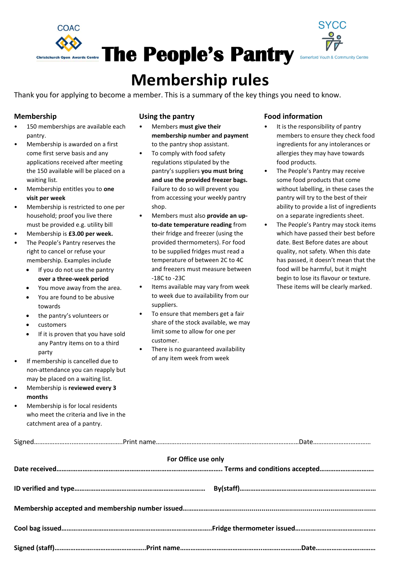



### **Membership rules**

Thank you for applying to become a member. This is a summary of the key things you need to know.

### **Membership**

- 150 memberships are available each pantry.
- Membership is awarded on a first come first serve basis and any applications received after meeting the 150 available will be placed on a waiting list.
- Membership entitles you to **one visit per week**
- Membership is restricted to one per household; proof you live there must be provided e.g. utility bill
- Membership is **£3.00 per week.**
- The People's Pantry reserves the right to cancel or refuse your membership. Examples include
	- If you do not use the pantry **over a three-week period**
	- You move away from the area.
	- You are found to be abusive towards
	- the pantry's volunteers or
	- customers
	- If it is proven that you have sold any Pantry items on to a third party
- If membership is cancelled due to non-attendance you can reapply but may be placed on a waiting list.
- Membership is **reviewed every 3 months**
- Membership is for local residents who meet the criteria and live in the catchment area of a pantry.

### **Using the pantry**

- Members **must give their membership number and payment** to the pantry shop assistant.
- To comply with food safety regulations stipulated by the pantry's suppliers **you must bring and use the provided freezer bags.** Failure to do so will prevent you from accessing your weekly pantry shop.
- Members must also **provide an upto-date temperature reading** from their fridge and freezer (using the provided thermometers). For food to be supplied fridges must read a temperature of between 2C to 4C and freezers must measure between -18C to -23C
- Items available may vary from week to week due to availability from our suppliers.
- To ensure that members get a fair share of the stock available, we may limit some to allow for one per customer.
- There is no guaranteed availability of any item week from week

#### **Food information**

- It is the responsibility of pantry members to ensure they check food ingredients for any intolerances or allergies they may have towards food products.
- The People's Pantry may receive some food products that come without labelling, in these cases the pantry will try to the best of their ability to provide a list of ingredients on a separate ingredients sheet.
- The People's Pantry may stock items which have passed their best before date. Best Before dates are about quality, not safety. When this date has passed, it doesn't mean that the food will be harmful, but it might begin to lose its flavour or texture. These items will be clearly marked.

| For Office use only |  |  |  |  |  |  |  |  |  |
|---------------------|--|--|--|--|--|--|--|--|--|
|                     |  |  |  |  |  |  |  |  |  |
|                     |  |  |  |  |  |  |  |  |  |
|                     |  |  |  |  |  |  |  |  |  |
|                     |  |  |  |  |  |  |  |  |  |
|                     |  |  |  |  |  |  |  |  |  |